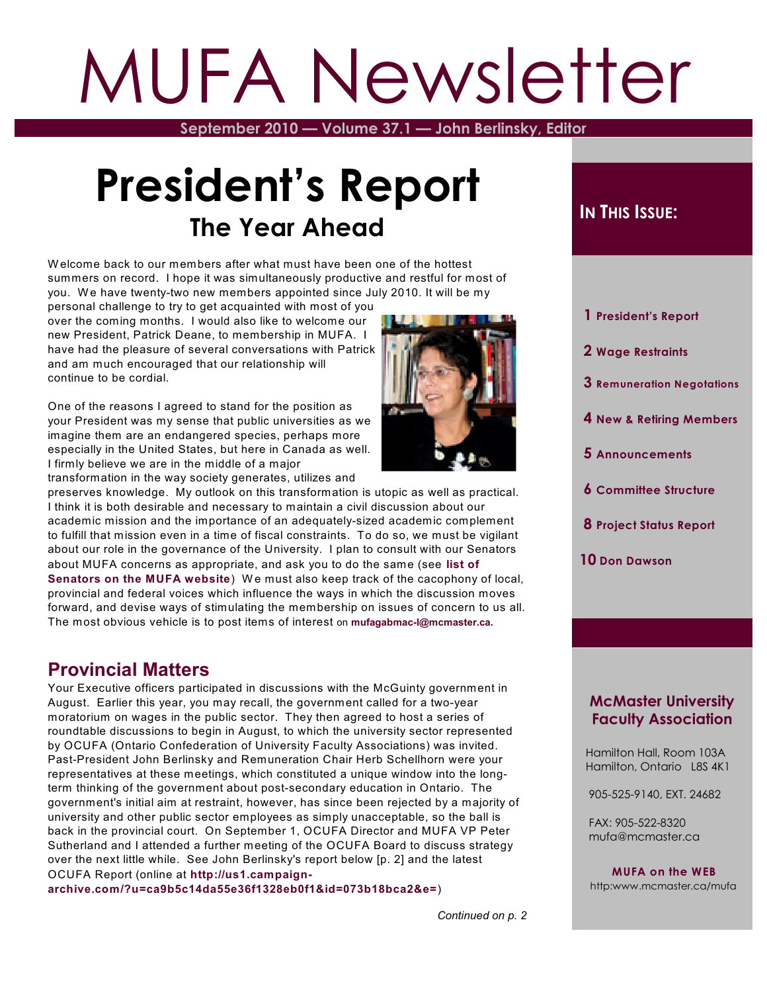# MUFA Newsletter

**September 2010 — Volume 37.1 — John Berlinsky, Editor**

# **President's Report The Year Ahead**

W elcome back to our members after what must have been one of the hottest summers on record. I hope it was simultaneously productive and restful for most of you. We have twenty-two new members appointed since July 2010. It will be my

personal challenge to try to get acquainted with most of you over the coming months. I would also like to welcome our new President, Patrick Deane, to membership in MUFA. I have had the pleasure of several conversations with Patrick and am much encouraged that our relationship will continue to be cordial.

One of the reasons I agreed to stand for the position as your President was my sense that public universities as we imagine them are an endangered species, perhaps more especially in the United States, but here in Canada as well. I firmly believe we are in the middle of a major transformation in the way society generates, utilizes and



preserves knowledge. My outlook on this transformation is utopic as well as practical. I think it is both desirable and necessary to maintain a civil discussion about our academic mission and the importance of an adequately-sized academic complement to fulfill that mission even in a time of fiscal constraints. To do so, we must be vigilant about our role in the governance of the University. I plan to consult with our Senators about MUFA concerns as appropriate, and ask you to do the same (see **[list](http://www.mcmaster.ca/mufa/Teaching%20Staff%20Senators2010-11.pdf) of [Senators](http://www.mcmaster.ca/mufa/Teaching%20Staff%20Senators2010-11.pdf) on the MUFA website**) W e must also keep track of the cacophony of local, provincial and federal voices which influence the ways in which the discussion moves forward, and devise ways of stimulating the membership on issues of concern to us all. The most obvious vehicle is to post items of interest on **[mufagabmac-l@mcmaster.ca.](mailto:mufagabmac-l@mcmaster.ca.)**

#### **Provincial Matters**

Your Executive officers participated in discussions with the McGuinty government in August. Earlier this year, you may recall, the government called for a two-year moratorium on wages in the public sector. They then agreed to host a series of roundtable discussions to begin in August, to which the university sector represented by OCUFA (Ontario Confederation of University Faculty Associations) was invited. Past-President John Berlinsky and Remuneration Chair Herb Schellhorn were your representatives at these meetings, which constituted a unique window into the longterm thinking of the government about post-secondary education in Ontario. The government's initial aim at restraint, however, has since been rejected by a majority of university and other public sector employees as simply unacceptable, so the ball is back in the provincial court. On September 1, OCUFA Director and MUFA VP Peter Sutherland and I attended a further meeting of the OCUFA Board to discuss strategy over the next little while. See John Berlinsky's report below [p. 2] and the latest OCUFA Report (online at **[http://us1.campaign-](http://us1.campaign-archive.com/?u=ca9b5c14da55e36f1328eb0f1&id=073b18bca2&e=)**

**[archive.com/?u=ca9b5c14da55e36f1328eb0f1&id=073b18bca2&e=](http://us1.campaign-archive.com/?u=ca9b5c14da55e36f1328eb0f1&id=073b18bca2&e=)**)

#### **IN THIS ISSUE:**

- **1 President's Report**
- **2 Wage Restraints**
- **3 Remuneration Negotations**
- **4 New & Retiring Members**
- **5 Announcements**
- **6 Committee Structure**
- **8 Project Status Report**
- **10 Don Dawson**

#### **McMaster University Faculty Association**

 Hamilton Hall, Room 103A Hamilton, Ontario L8S 4K1

905-525-9140, EXT. 24682

 FAX: 905-522-8320 mufa@mcmaster.ca

**MUFA on the WEB** http:www.mcmaster.ca/mufa

*Continued on p. 2*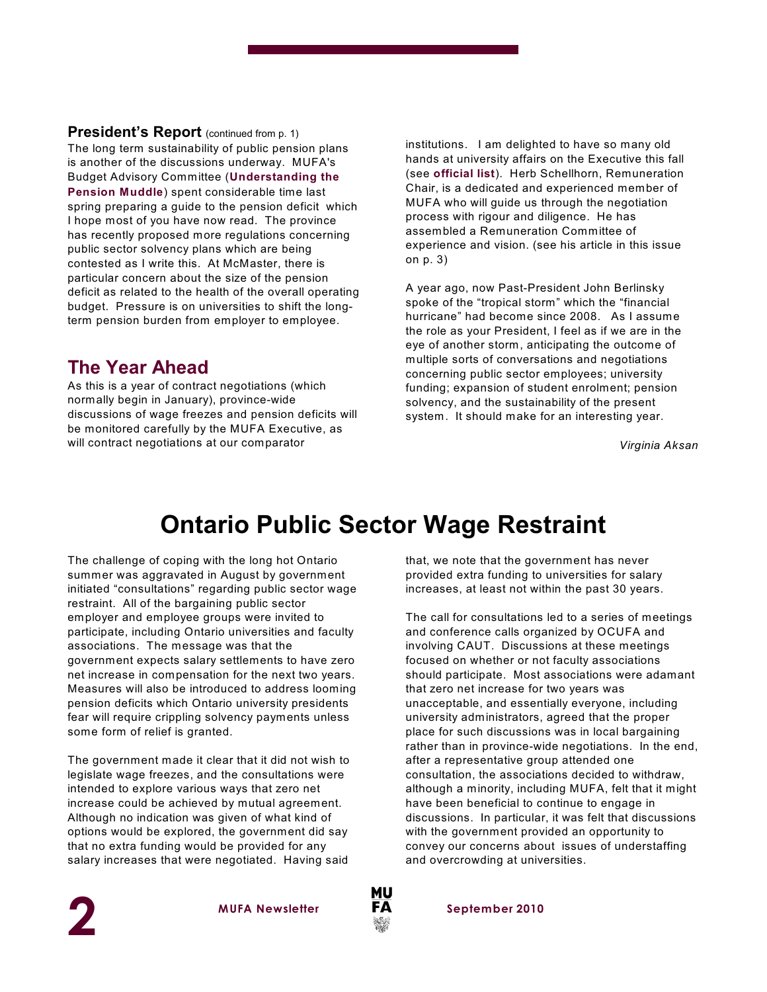**President's Report** (continued from p. 1) The long term sustainability of public pension plans is another of the discussions underway. MUFA's Budget Advisory Committee (**[Understanding](http://www.mcmaster.ca/mufa/BACJune14-10.pdf) the [Pension](http://www.mcmaster.ca/mufa/BACJune14-10.pdf) Muddle**) spent considerable time last spring preparing a guide to the pension deficit which I hope most of you have now read. The province has recently proposed more regulations concerning public sector solvency plans which are being contested as I write this. At McMaster, there is particular concern about the size of the pension deficit as related to the health of the overall operating budget. Pressure is on universities to shift the longterm pension burden from employer to employee.

#### **The Year Ahead**

As this is a year of contract negotiations (which normally begin in January), province-wide discussions of wage freezes and pension deficits will be monitored carefully by the MUFA Executive, as will contract negotiations at our comparator

institutions. I am delighted to have so many old hands at university affairs on the Executive this fall (see **[official](http://www.mcmaster.ca/mufa/MUFA%20Executive2010.pdf) list**). Herb Schellhorn, Remuneration Chair, is a dedicated and experienced member of MUFA who will guide us through the negotiation process with rigour and diligence. He has assembled a Remuneration Committee of experience and vision. (see his article in this issue on p. 3)

A year ago, now Past-President John Berlinsky spoke of the "tropical storm" which the "financial hurricane" had become since 2008. As I assume the role as your President, I feel as if we are in the eye of another storm, anticipating the outcome of multiple sorts of conversations and negotiations concerning public sector employees; university funding; expansion of student enrolment; pension solvency, and the sustainability of the present system. It should make for an interesting year.

*Virginia Aksan*

## **Ontario Public Sector Wage Restraint**

The challenge of coping with the long hot Ontario summer was aggravated in August by government initiated "consultations" regarding public sector wage restraint. All of the bargaining public sector employer and employee groups were invited to participate, including Ontario universities and faculty associations. The message was that the government expects salary settlements to have zero net increase in compensation for the next two years. Measures will also be introduced to address looming pension deficits which Ontario university presidents fear will require crippling solvency payments unless some form of relief is granted.

The government made it clear that it did not wish to legislate wage freezes, and the consultations were intended to explore various ways that zero net increase could be achieved by mutual agreement. Although no indication was given of what kind of options would be explored, the government did say that no extra funding would be provided for any salary increases that were negotiated. Having said

that, we note that the government has never provided extra funding to universities for salary increases, at least not within the past 30 years.

The call for consultations led to a series of meetings and conference calls organized by OCUFA and involving CAUT. Discussions at these meetings focused on whether or not faculty associations should participate. Most associations were adamant that zero net increase for two years was unacceptable, and essentially everyone, including university administrators, agreed that the proper place for such discussions was in local bargaining rather than in province-wide negotiations. In the end, after a representative group attended one consultation, the associations decided to withdraw, although a minority, including MUFA, felt that it might have been beneficial to continue to engage in discussions. In particular, it was felt that discussions with the government provided an opportunity to convey our concerns about issues of understaffing and overcrowding at universities.



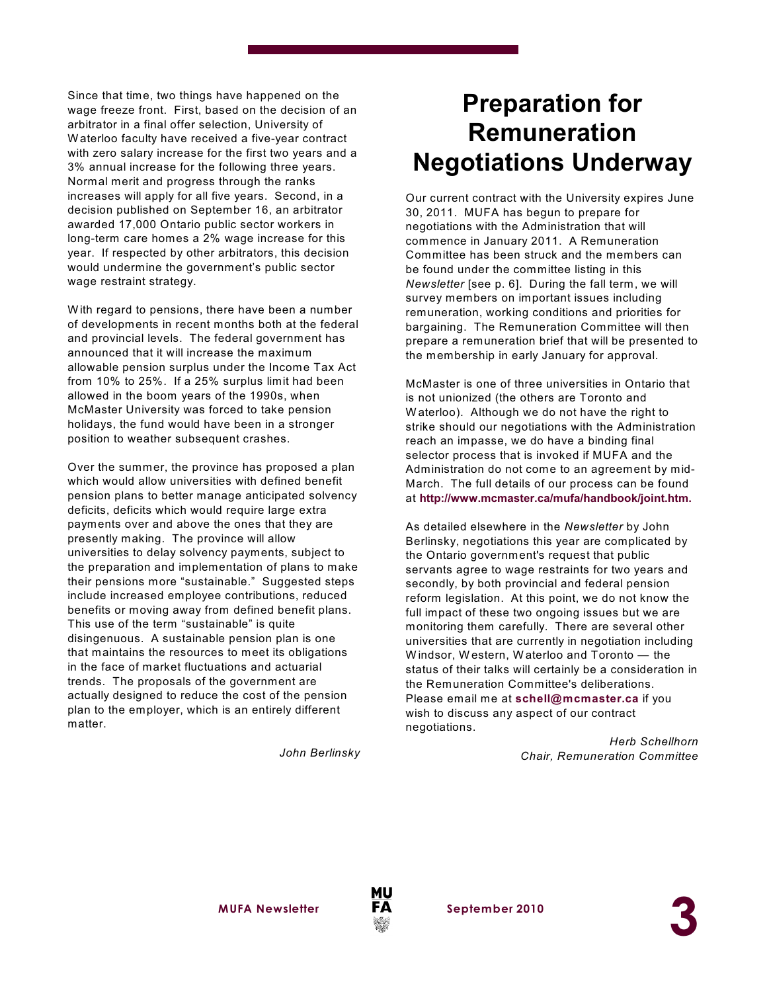Since that time, two things have happened on the wage freeze front. First, based on the decision of an arbitrator in a final offer selection, University of W aterloo faculty have received a five-year contract with zero salary increase for the first two years and a 3% annual increase for the following three years. Normal merit and progress through the ranks increases will apply for all five years. Second, in a decision published on September 16, an arbitrator awarded 17,000 Ontario public sector workers in long-term care homes a 2% wage increase for this year. If respected by other arbitrators, this decision would undermine the government's public sector wage restraint strategy.

W ith regard to pensions, there have been a number of developments in recent months both at the federal and provincial levels. The federal government has announced that it will increase the maximum allowable pension surplus under the Income Tax Act from 10% to 25%. If a 25% surplus limit had been allowed in the boom years of the 1990s, when McMaster University was forced to take pension holidays, the fund would have been in a stronger position to weather subsequent crashes.

Over the summer, the province has proposed a plan which would allow universities with defined benefit pension plans to better manage anticipated solvency deficits, deficits which would require large extra payments over and above the ones that they are presently making. The province will allow universities to delay solvency payments, subject to the preparation and implementation of plans to make their pensions more "sustainable." Suggested steps include increased employee contributions, reduced benefits or moving away from defined benefit plans. This use of the term "sustainable" is quite disingenuous. A sustainable pension plan is one that maintains the resources to meet its obligations in the face of market fluctuations and actuarial trends. The proposals of the government are actually designed to reduce the cost of the pension plan to the employer, which is an entirely different matter.

*John Berlinsky*

## **Preparation for Remuneration Negotiations Underway**

Our current contract with the University expires June 30, 2011. MUFA has begun to prepare for negotiations with the Administration that will commence in January 2011. A Remuneration Committee has been struck and the members can be found under the committee listing in this *Newsletter* [see p. 6]. During the fall term, we will survey members on important issues including remuneration, working conditions and priorities for bargaining. The Remuneration Committee will then prepare a remuneration brief that will be presented to the membership in early January for approval.

McMaster is one of three universities in Ontario that is not unionized (the others are Toronto and W aterloo). Although we do not have the right to strike should our negotiations with the Administration reach an impasse, we do have a binding final selector process that is invoked if MUFA and the Administration do not come to an agreement by mid-March. The full details of our process can be found at **<http://www.mcmaster.ca/mufa/handbook/joint.htm.>**

As detailed elsewhere in the *Newsletter* by John Berlinsky, negotiations this year are complicated by the Ontario government's request that public servants agree to wage restraints for two years and secondly, by both provincial and federal pension reform legislation. At this point, we do not know the full impact of these two ongoing issues but we are monitoring them carefully. There are several other universities that are currently in negotiation including W indsor, W estern, W aterloo and Toronto — the status of their talks will certainly be a consideration in the Remuneration Committee's deliberations. Please email me at **[schell@mcmaster.ca](mailto:schell@mcmaster.ca)** if you wish to discuss any aspect of our contract negotiations.

> *Herb Schellhorn Chair, Remuneration Committee*

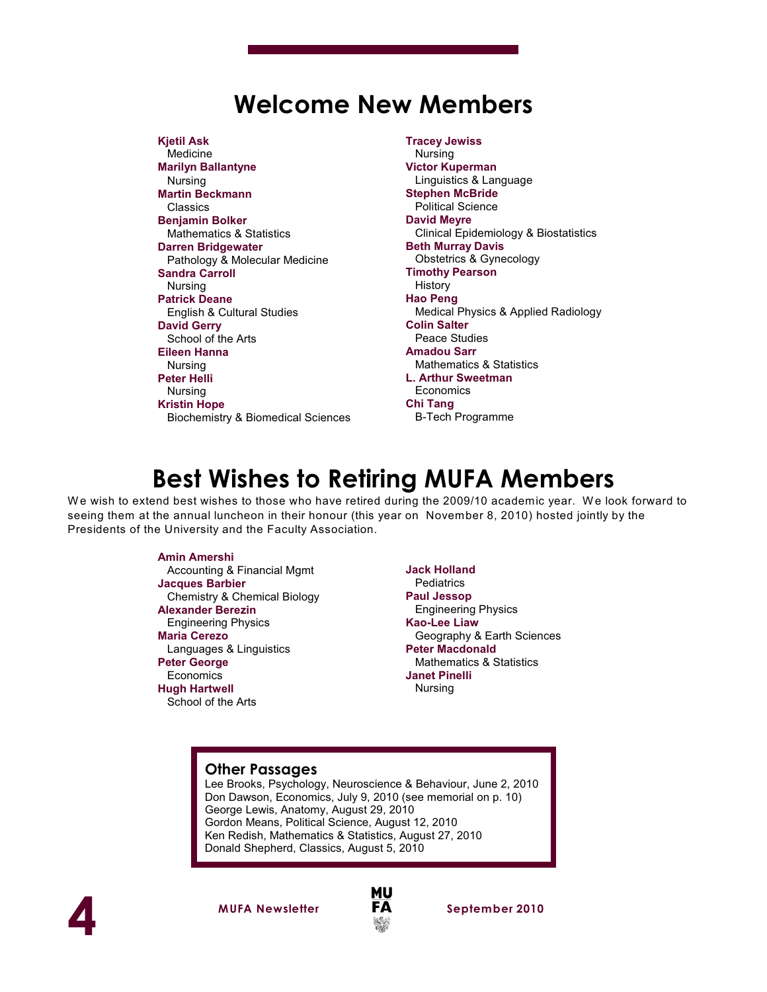## **Welcome New Members**

**Kjetil Ask** Medicine **Marilyn Ballantyne** Nursing **Martin Beckmann** Classics **Benjamin Bolker** Mathematics & Statistics **Darren Bridgewater** Pathology & Molecular Medicine **Sandra Carroll** Nursing **Patrick Deane** English & Cultural Studies **David Gerry** School of the Arts **Eileen Hanna** Nursing **Peter Helli** Nursing **Kristin Hope** Biochemistry & Biomedical Sciences **Tracey Jewiss** Nursing **Victor Kuperman** Linguistics & Language **Stephen McBride** Political Science **David Meyre** Clinical Epidemiology & Biostatistics **Beth Murray Davis** Obstetrics & Gynecology **Timothy Pearson** History **Hao Peng** Medical Physics & Applied Radiology **Colin Salter** Peace Studies **Amadou Sarr** Mathematics & Statistics **L. Arthur Sweetman Economics Chi Tang** B-Tech Programme

## **Best Wishes to Retiring MUFA Members**

We wish to extend best wishes to those who have retired during the 2009/10 academic year. We look forward to seeing them at the annual luncheon in their honour (this year on November 8, 2010) hosted jointly by the Presidents of the University and the Faculty Association.

#### **Amin Amershi**

 Accounting & Financial Mgmt **Jacques Barbier** Chemistry & Chemical Biology **Alexander Berezin** Engineering Physics **Maria Cerezo** Languages & Linguistics **Peter George Economics Hugh Hartwell** School of the Arts

**Jack Holland Pediatrics Paul Jessop** Engineering Physics **Kao-Lee Liaw** Geography & Earth Sciences **Peter Macdonald** Mathematics & Statistics **Janet Pinelli** Nursing

#### **Other Passages**

Lee Brooks, Psychology, Neuroscience & Behaviour, June 2, 2010 Don Dawson, Economics, July 9, 2010 (see memorial on p. 10) George Lewis, Anatomy, August 29, 2010 Gordon Means, Political Science, August 12, 2010 Ken Redish, Mathematics & Statistics, August 27, 2010 Donald Shepherd, Classics, August 5, 2010



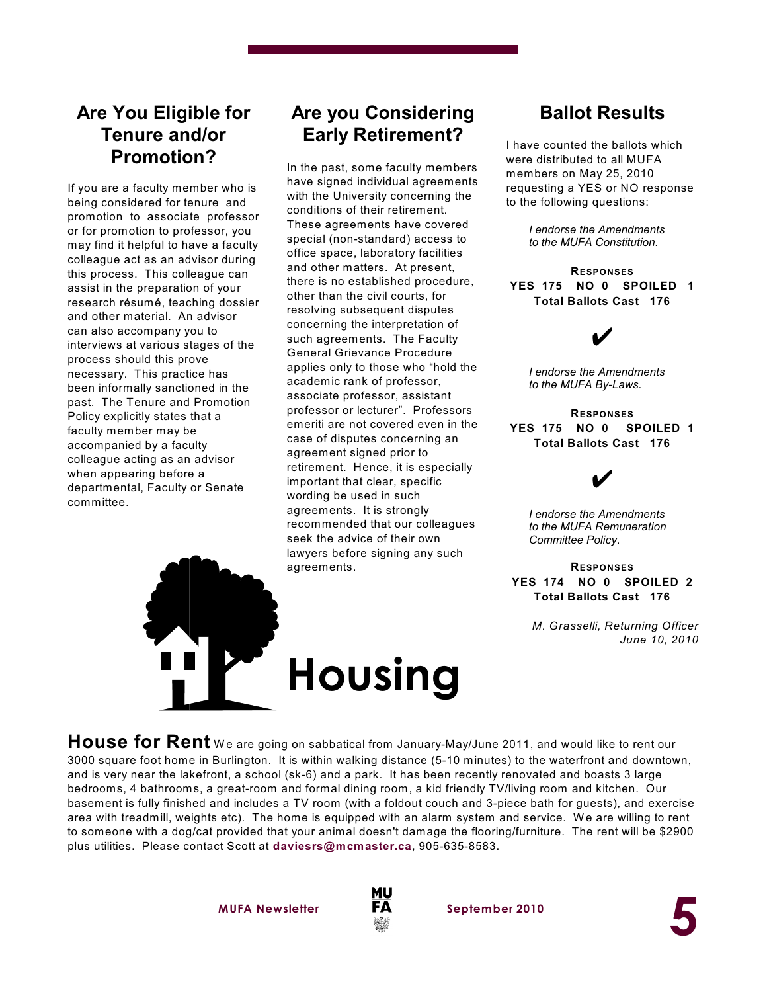#### **Are You Eligible for Tenure and/or Promotion?**

If you are a faculty member who is being considered for tenure and promotion to associate professor or for promotion to professor, you may find it helpful to have a faculty colleague act as an advisor during this process. This colleague can assist in the preparation of your research résumé, teaching dossier and other material. An advisor can also accompany you to interviews at various stages of the process should this prove necessary. This practice has been informally sanctioned in the past. The Tenure and Promotion Policy explicitly states that a faculty member may be accompanied by a faculty colleague acting as an advisor when appearing before a departmental, Faculty or Senate committee.

#### **Are you Considering Early Retirement?**

In the past, some faculty members have signed individual agreements with the University concerning the conditions of their retirement. These agreements have covered special (non-standard) access to office space, laboratory facilities and other matters. At present, there is no established procedure, other than the civil courts, for resolving subsequent disputes concerning the interpretation of such agreements. The Faculty General Grievance Procedure applies only to those who "hold the academic rank of professor, associate professor, assistant professor or lecturer". Professors emeriti are not covered even in the case of disputes concerning an agreement signed prior to retirement. Hence, it is especially important that clear, specific wording be used in such agreements. It is strongly recommended that our colleagues seek the advice of their own lawyers before signing any such agreements.

#### **Ballot Results**

I have counted the ballots which were distributed to all MUFA members on May 25, 2010 requesting a YES or NO response to the following questions:

> *I endorse the Amendments to the MUFA Constitution.*

**RESPONSES YES 175 NO 0 SPOILED 1 Total Ballots Cast 176**

U

*I endorse the Amendments to the MUFA By-Laws.*

**RESPONSES YES 175 NO 0 SPOILED 1 Total Ballots Cast 176**

### U

*I endorse the Amendments to the MUFA Remuneration Committee Policy*.

**RESPONSES YES 174 NO 0 SPOILED 2 Total Ballots Cast 176**

> *M. Grasselli, Returning Officer June 10, 2010*

House for Rent We are going on sabbatical from January-May/June 2011, and would like to rent our 3000 square foot home in Burlington. It is within walking distance (5-10 minutes) to the waterfront and downtown, and is very near the lakefront, a school (sk-6) and a park. It has been recently renovated and boasts 3 large bedrooms, 4 bathrooms, a great-room and formal dining room, a kid friendly TV/living room and kitchen. Our basement is fully finished and includes a TV room (with a foldout couch and 3-piece bath for guests), and exercise area with treadmill, weights etc). The home is equipped with an alarm system and service. We are willing to rent to someone with a dog/cat provided that your animal doesn't damage the flooring/furniture. The rent will be \$2900 plus utilities. Please contact Scott at **daviesrs@mcmaster.ca**, 905-635-8583.

**Housing**



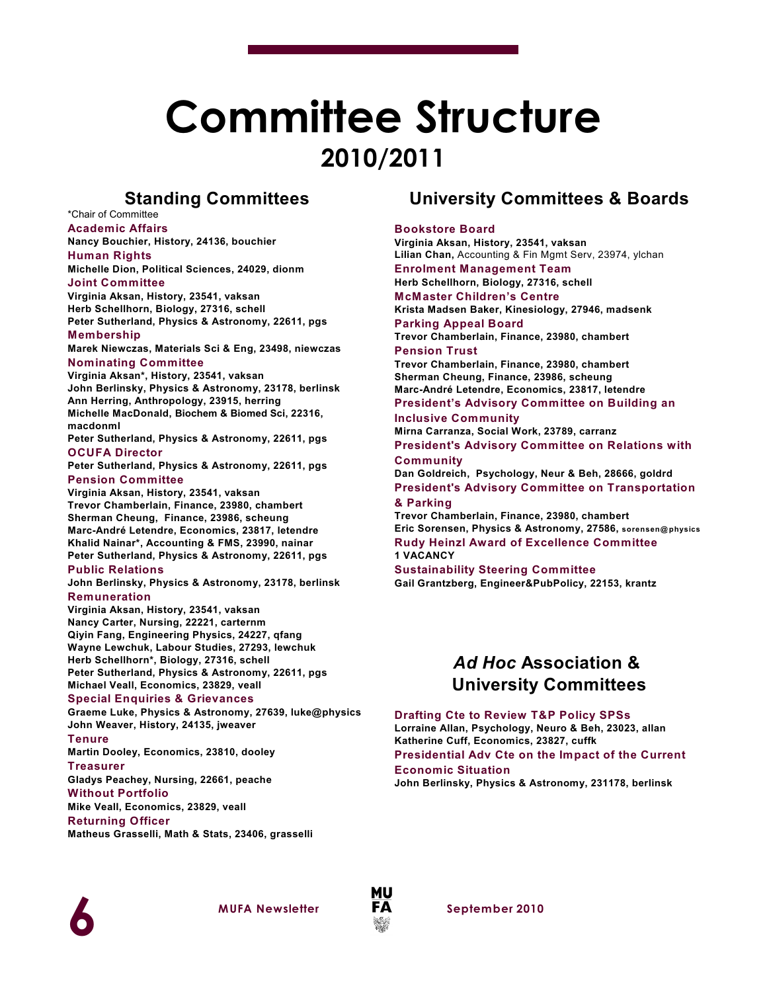# **Committee Structure 2010/2011**

#### **Standing Committees**

\*Chair of Committee **Academic Affairs**

**Nancy Bouchier, History, 24136, bouchier Human Rights**

**Michelle Dion, Political Sciences, 24029, dionm Joint Committee**

**Virginia Aksan, History, 23541, vaksan Herb Schellhorn, Biology, 27316, schell Peter Sutherland, Physics & Astronomy, 22611, pgs**

#### **Membership**

**Marek Niewczas, Materials Sci & Eng, 23498, niewczas Nominating Committee**

**Virginia Aksan\*, History, 23541, vaksan John Berlinsky, Physics & Astronomy, 23178, berlinsk Ann Herring, Anthropology, 23915, herring Michelle MacDonald, Biochem & Biomed Sci, 22316, macdonml**

**Peter Sutherland, Physics & Astronomy, 22611, pgs OCUFA Director**

**Peter Sutherland, Physics & Astronomy, 22611, pgs Pension Committee**

**Virginia Aksan, History, 23541, vaksan Trevor Chamberlain, Finance, 23980, chambert Sherman Cheung, Finance, 23986, scheung Marc-André Letendre, Economics, 23817, letendre Khalid Nainar\*, Accounting & FMS, 23990, nainar Peter Sutherland, Physics & Astronomy, 22611, pgs**

**Public Relations**

**John Berlinsky, Physics & Astronomy, 23178, berlinsk Remuneration**

**Virginia Aksan, History, 23541, vaksan Nancy Carter, Nursing, 22221, carternm Qiyin Fang, Engineering Physics, 24227, qfang Wayne Lewchuk, Labour Studies, 27293, lewchuk Herb Schellhorn\*, Biology, 27316, schell Peter Sutherland, Physics & Astronomy, 22611, pgs Michael Veall, Economics, 23829, veall**

#### **Special Enquiries & Grievances**

**Graeme Luke, Physics & Astronomy, 27639, luke@physics John Weaver, History, 24135, jweaver**

**Tenure**

**Martin Dooley, Economics, 23810, dooley**

#### **Treasurer**

**Gladys Peachey, Nursing, 22661, peache**

**Without Portfolio**

**Mike Veall, Economics, 23829, veall**

**Returning Officer Matheus Grasselli, Math & Stats, 23406, grasselli**

#### **University Committees & Boards**

#### **Bookstore Board**

**Virginia Aksan, History, 23541, vaksan Lilian Chan,** Accounting & Fin Mgmt Serv, 23974, ylchan

**Enrolment Management Team Herb Schellhorn, Biology, 27316, schell**

**McMaster Children's Centre Krista Madsen Baker, Kinesiology, 27946, madsenk**

**Parking Appeal Board Trevor Chamberlain, Finance, 23980, chambert Pension Trust**

**Trevor Chamberlain, Finance, 23980, chambert Sherman Cheung, Finance, 23986, scheung Marc-André Letendre, Economics, 23817, letendre**

**President's Advisory Committee on Building an Inclusive Community**

**Mirna Carranza, Social Work, 23789, carranz President's Advisory Committee on Relations with Community**

**Dan Goldreich, Psychology, Neur & Beh, 28666, goldrd President's Advisory Committee on Transportation & Parking**

**Trevor Chamberlain, Finance, 23980, chambert Eric Sorensen, Physics & Astronomy, 27586, sorensen@ physics Rudy Heinzl Award of Excellence Committee 1 VACANCY**

**Sustainability Steering Committee Gail Grantzberg, Engineer&PubPolicy, 22153, krantz**

#### *Ad Hoc* **Association & University Committees**

**Drafting Cte to Review T&P Policy SPSs**

**Lorraine Allan, Psychology, Neuro & Beh, 23023, allan Katherine Cuff, Economics, 23827, cuffk**

**Presidential Adv Cte on the Impact of the Current Economic Situation**

**John Berlinsky, Physics & Astronomy, 231178, berlinsk**



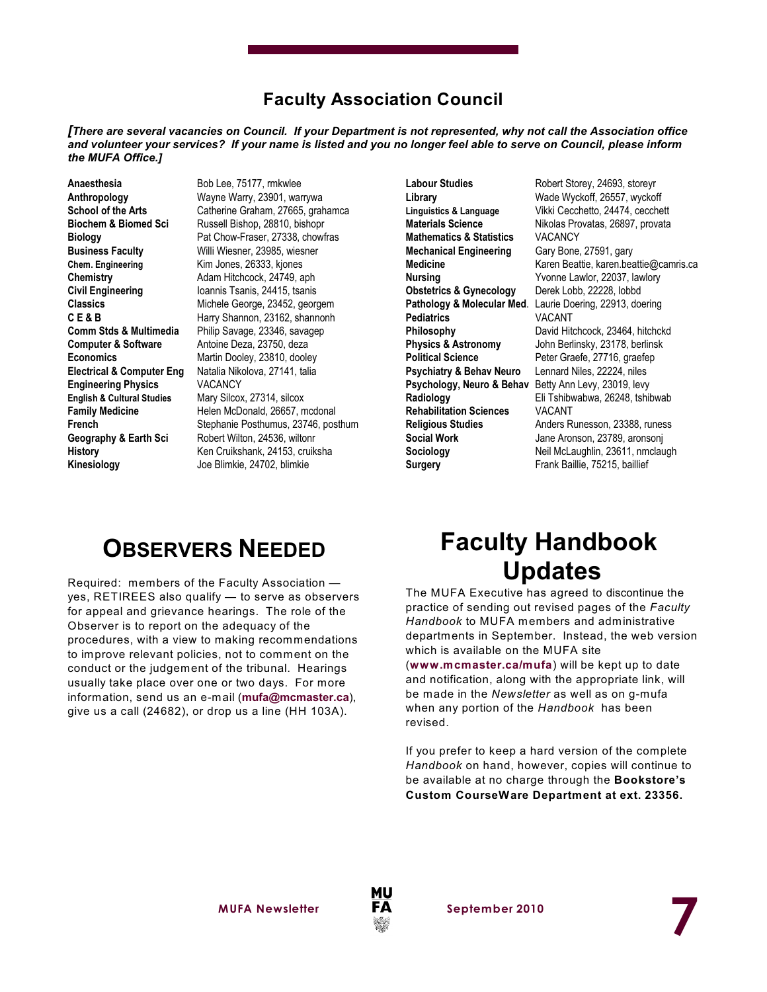#### **Faculty Association Council**

*[There are several vacancies on Council. If your Department is not represented, why not call the Association office and volunteer your services? If your name is listed and you no longer feel able to serve on Council, please inform the MUFA Office.]*

Anaesthesia Bob Lee, 75177, rmkwlee **Chem. Engineering Kim Jones, 26333, kjones Computer & Software** Antoine Deza, 23750, deza **Engineering Physics** VACANCY **English & Cultural Studies** Mary Silcox, 27314, silcox **Kinesiology** Joe Blimkie, 24702, blimkie

**Anthropology** Wayne Warry, 23901, warrywa<br> **School of the Arts** Catherine Graham, 27665. arah **School of the Arts** Catherine Graham, 27665, grahamca<br> **Biochem & Biomed Sci** Russell Bishop, 28810, bishopr Russell Bishop, 28810, bishopr **Biology** Pat Chow-Fraser, 27338, chowfras **Business Faculty** Willi Wiesner, 23985, wiesner **Chemistry Adam Hitchcock, 24749, aph Civil Engineering** Ioannis Tsanis, 24415, tsanis **Classics** Michele George, 23452, georgem **C E & B** Harry Shannon, 23162, shannonh **Comm Stds & Multimedia** Philip Savage, 23346, savagep **Economics** Martin Dooley, 23810, dooley **Electrical & Computer Eng** Natalia Nikolova, 27141, talia Helen McDonald, 26657, mcdonal **French** Stephanie Posthumus, 23746, posthum **Geography & Earth Sci** Robert Wilton, 24536, wiltonr **History** Ken Cruikshank, 24153, cruiksha

**Mathematics & Statistics** VACANCY **Mechanical Engineering** Gary Bone, 27591, gary **Obstetrics & Gynecology** Derek Lobb, 22228, lobbd **Pediatrics** VACANT **Political Science** Peter Graefe, 27716, graefep **Psychiatry & Behav Neuro** Lennard Niles, 22224, niles **Psychology, Neuro & Behav** Betty Ann Levy, 23019, levy **Rehabilitation Sciences** VACANT **Surgery Frank Baillie, 75215, baillief** 

Labour Studies **Robert Storey, 24693**, storeyr **Library** Wade Wyckoff, 26557, wyckoff **Linguistics & Language** Vikki Cecchetto, 24474, cecchett **Materials Science** Nikolas Provatas, 26897, provata **Medicine** Karen Beattie, karen.beattie@camris.ca **Nursing** Yvonne Lawlor, 22037, lawlory **Pathology & Molecular Med**. Laurie Doering, 22913, doering **Philosophy** David Hitchcock, 23464, hitchckd **Physics & Astronomy** John Berlinsky, 23178, berlinsk **Radiology** Eli Tshibwabwa, 26248, tshibwab **Religious Studies** Anders Runesson, 23388, runess **Social Work** Jane Aronson, 23789, aronsonj **Sociology** Neil McLaughlin, 23611, nmclaugh

## **OBSERVERS NEEDED**

Required: members of the Faculty Association yes, RETIREES also qualify — to serve as observers for appeal and grievance hearings. The role of the Observer is to report on the adequacy of the procedures, with a view to making recommendations to improve relevant policies, not to comment on the conduct or the judgement of the tribunal. Hearings usually take place over one or two days. For more information, send us an e-mail (**[mufa@mcmaster.ca](mailto:mufa@mcmaster.ca),)**), give us a call (24682), or drop us a line (HH 103A).

## **Faculty Handbook Updates**

The MUFA Executive has agreed to discontinue the practice of sending out revised pages of the *Faculty Handbook* to MUFA members and administrative departments in September. Instead, the web version which is available on the MUFA site

(**[www.mcmaster.ca/mufa](http://www.mcmaster.ca/mufa))**) will be kept up to date and notification, along with the appropriate link, will be made in the *Newsletter* as well as on g-mufa when any portion of the *Handbook* has been revised.

If you prefer to keep a hard version of the complete *Handbook* on hand, however, copies will continue to be available at no charge through the **Bookstore's Custom CourseWare Department at ext. 23356.**

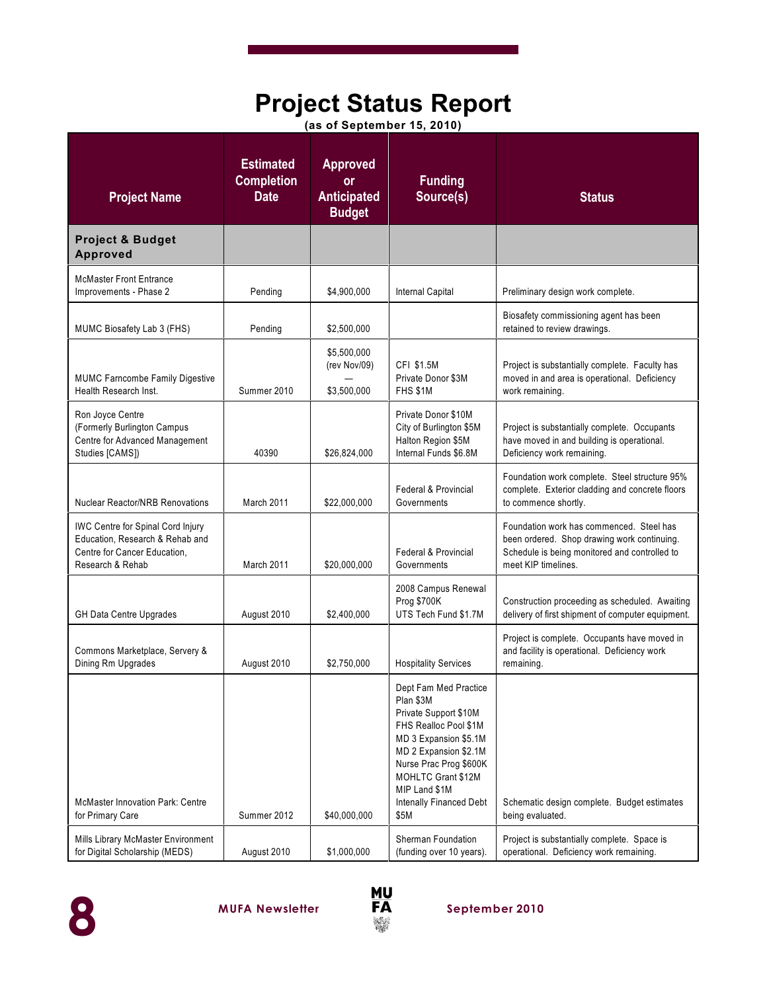## **Project Status Report**

|  | (as of September 15, 2010) |  |
|--|----------------------------|--|
|--|----------------------------|--|

| <b>Project Name</b>                                                                                                      | <b>Estimated</b><br><b>Completion</b><br><b>Date</b> | <b>Approved</b><br>or<br><b>Anticipated</b><br><b>Budget</b> | <b>Funding</b><br>Source(s)                                                                                                                                                                                                                | <b>Status</b>                                                                                                                                                   |
|--------------------------------------------------------------------------------------------------------------------------|------------------------------------------------------|--------------------------------------------------------------|--------------------------------------------------------------------------------------------------------------------------------------------------------------------------------------------------------------------------------------------|-----------------------------------------------------------------------------------------------------------------------------------------------------------------|
| <b>Project &amp; Budget</b><br><b>Approved</b>                                                                           |                                                      |                                                              |                                                                                                                                                                                                                                            |                                                                                                                                                                 |
| <b>McMaster Front Entrance</b><br>Improvements - Phase 2                                                                 | Pending                                              | \$4.900.000                                                  | Internal Capital                                                                                                                                                                                                                           | Preliminary design work complete.                                                                                                                               |
| MUMC Biosafety Lab 3 (FHS)                                                                                               | Pending                                              | \$2,500,000                                                  |                                                                                                                                                                                                                                            | Biosafety commissioning agent has been<br>retained to review drawings.                                                                                          |
| <b>MUMC Farncombe Family Digestive</b><br>Health Research Inst.                                                          | Summer 2010                                          | \$5,500,000<br>(rev Nov/09)<br>\$3.500.000                   | CFI \$1.5M<br>Private Donor \$3M<br><b>FHS \$1M</b>                                                                                                                                                                                        | Project is substantially complete. Faculty has<br>moved in and area is operational. Deficiency<br>work remaining.                                               |
| Ron Joyce Centre<br>(Formerly Burlington Campus<br>Centre for Advanced Management<br>Studies [CAMS])                     | 40390                                                | \$26,824,000                                                 | Private Donor \$10M<br>City of Burlington \$5M<br>Halton Region \$5M<br>Internal Funds \$6.8M                                                                                                                                              | Project is substantially complete. Occupants<br>have moved in and building is operational.<br>Deficiency work remaining.                                        |
| <b>Nuclear Reactor/NRB Renovations</b>                                                                                   | March 2011                                           | \$22,000,000                                                 | <b>Federal &amp; Provincial</b><br>Governments                                                                                                                                                                                             | Foundation work complete. Steel structure 95%<br>complete. Exterior cladding and concrete floors<br>to commence shortly.                                        |
| IWC Centre for Spinal Cord Injury<br>Education, Research & Rehab and<br>Centre for Cancer Education,<br>Research & Rehab | March 2011                                           | \$20,000,000                                                 | <b>Federal &amp; Provincial</b><br>Governments                                                                                                                                                                                             | Foundation work has commenced. Steel has<br>been ordered. Shop drawing work continuing.<br>Schedule is being monitored and controlled to<br>meet KIP timelines. |
| <b>GH Data Centre Upgrades</b>                                                                                           | August 2010                                          | \$2,400,000                                                  | 2008 Campus Renewal<br>Prog \$700K<br>UTS Tech Fund \$1.7M                                                                                                                                                                                 | Construction proceeding as scheduled. Awaiting<br>delivery of first shipment of computer equipment.                                                             |
| Commons Marketplace, Servery &<br>Dining Rm Upgrades                                                                     | August 2010                                          | \$2,750,000                                                  | <b>Hospitality Services</b>                                                                                                                                                                                                                | Project is complete. Occupants have moved in<br>and facility is operational. Deficiency work<br>remaining.                                                      |
| <b>McMaster Innovation Park: Centre</b><br>for Primary Care                                                              | Summer 2012                                          | \$40,000,000                                                 | Dept Fam Med Practice<br>Plan \$3M<br>Private Support \$10M<br>FHS Realloc Pool \$1M<br>MD 3 Expansion \$5.1M<br>MD 2 Expansion \$2.1M<br>Nurse Prac Prog \$600K<br>MOHLTC Grant \$12M<br>MIP Land \$1M<br>Intenally Financed Debt<br>\$5M | Schematic design complete. Budget estimates<br>being evaluated.                                                                                                 |
| Mills Library McMaster Environment<br>for Digital Scholarship (MEDS)                                                     | August 2010                                          | \$1,000,000                                                  | <b>Sherman Foundation</b><br>(funding over 10 years).                                                                                                                                                                                      | Project is substantially complete. Space is<br>operational. Deficiency work remaining.                                                                          |



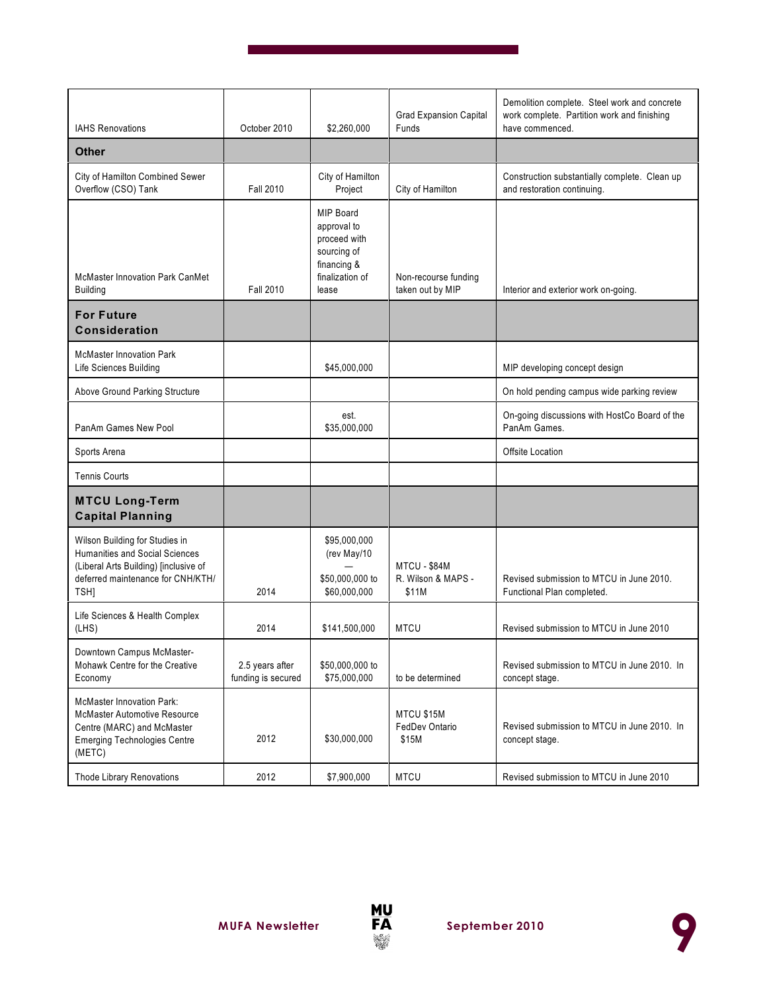| <b>IAHS Renovations</b>                                                                                                                                | October 2010                          | \$2,260,000                                                                                               | <b>Grad Expansion Capital</b><br>Funds             | Demolition complete. Steel work and concrete<br>work complete. Partition work and finishing<br>have commenced. |
|--------------------------------------------------------------------------------------------------------------------------------------------------------|---------------------------------------|-----------------------------------------------------------------------------------------------------------|----------------------------------------------------|----------------------------------------------------------------------------------------------------------------|
| <b>Other</b>                                                                                                                                           |                                       |                                                                                                           |                                                    |                                                                                                                |
| City of Hamilton Combined Sewer<br>Overflow (CSO) Tank                                                                                                 | <b>Fall 2010</b>                      | City of Hamilton<br>Project                                                                               | City of Hamilton                                   | Construction substantially complete. Clean up<br>and restoration continuing.                                   |
| <b>McMaster Innovation Park CanMet</b><br><b>Building</b>                                                                                              | <b>Fall 2010</b>                      | <b>MIP Board</b><br>approval to<br>proceed with<br>sourcing of<br>financing &<br>finalization of<br>lease | Non-recourse funding<br>taken out by MIP           | Interior and exterior work on-going.                                                                           |
| <b>For Future</b><br><b>Consideration</b>                                                                                                              |                                       |                                                                                                           |                                                    |                                                                                                                |
| <b>McMaster Innovation Park</b><br>Life Sciences Building                                                                                              |                                       | \$45,000,000                                                                                              |                                                    | MIP developing concept design                                                                                  |
| Above Ground Parking Structure                                                                                                                         |                                       |                                                                                                           |                                                    | On hold pending campus wide parking review                                                                     |
| PanAm Games New Pool                                                                                                                                   |                                       | est.<br>\$35,000,000                                                                                      |                                                    | On-going discussions with HostCo Board of the<br>PanAm Games.                                                  |
| Sports Arena                                                                                                                                           |                                       |                                                                                                           |                                                    | Offsite Location                                                                                               |
| <b>Tennis Courts</b>                                                                                                                                   |                                       |                                                                                                           |                                                    |                                                                                                                |
| <b>MTCU Long-Term</b><br><b>Capital Planning</b>                                                                                                       |                                       |                                                                                                           |                                                    |                                                                                                                |
| Wilson Building for Studies in<br>Humanities and Social Sciences<br>(Liberal Arts Building) [inclusive of<br>deferred maintenance for CNH/KTH/<br>TSH] | 2014                                  | \$95,000,000<br>(rev May/10<br>\$50,000,000 to<br>\$60,000,000                                            | <b>MTCU - \$84M</b><br>R. Wilson & MAPS -<br>\$11M | Revised submission to MTCU in June 2010.<br>Functional Plan completed.                                         |
| Life Sciences & Health Complex<br>(LHS)                                                                                                                | 2014                                  | \$141,500,000                                                                                             | <b>MTCU</b>                                        | Revised submission to MTCU in June 2010                                                                        |
| Downtown Campus McMaster-<br>Mohawk Centre for the Creative<br>Economy                                                                                 | 2.5 years after<br>funding is secured | \$50,000,000 to<br>\$75,000,000                                                                           | to be determined                                   | Revised submission to MTCU in June 2010. In<br>concept stage.                                                  |
| <b>McMaster Innovation Park:</b><br><b>McMaster Automotive Resource</b><br>Centre (MARC) and McMaster<br><b>Emerging Technologies Centre</b><br>(METC) | 2012                                  | \$30,000,000                                                                                              | MTCU \$15M<br>FedDev Ontario<br>\$15M              | Revised submission to MTCU in June 2010. In<br>concept stage.                                                  |
| Thode Library Renovations                                                                                                                              | 2012                                  | \$7,900,000                                                                                               | <b>MTCU</b>                                        | Revised submission to MTCU in June 2010                                                                        |